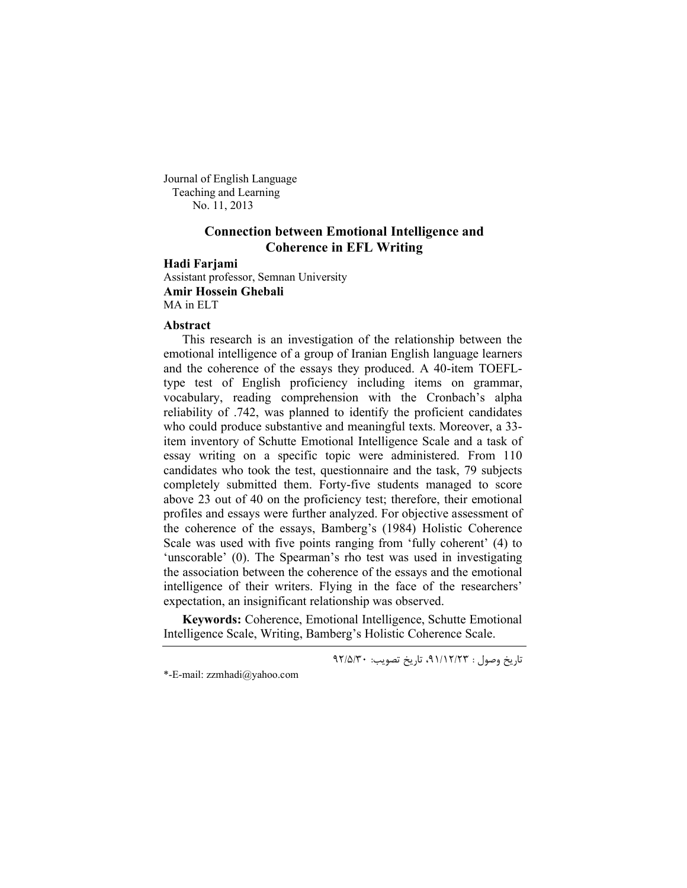Journal of English Language Teaching and Learning No. 11, 2013

# **Connection between Emotional Intelligence and Coherence in EFL Writing**

## **Hadi Farjami**

Assistant professor, Semnan University **Amir Hossein Ghebali**  MA in ELT

#### **Abstract**

This research is an investigation of the relationship between the emotional intelligence of a group of Iranian English language learners and the coherence of the essays they produced. A 40-item TOEFLtype test of English proficiency including items on grammar, vocabulary, reading comprehension with the Cronbach's alpha reliability of .742, was planned to identify the proficient candidates who could produce substantive and meaningful texts. Moreover, a 33 item inventory of Schutte Emotional Intelligence Scale and a task of essay writing on a specific topic were administered. From 110 candidates who took the test, questionnaire and the task, 79 subjects completely submitted them. Forty-five students managed to score above 23 out of 40 on the proficiency test; therefore, their emotional profiles and essays were further analyzed. For objective assessment of the coherence of the essays, Bamberg's (1984) Holistic Coherence Scale was used with five points ranging from 'fully coherent' (4) to 'unscorable' (0). The Spearman's rho test was used in investigating the association between the coherence of the essays and the emotional intelligence of their writers. Flying in the face of the researchers' expectation, an insignificant relationship was observed.

**Keywords:** Coherence, Emotional Intelligence, Schutte Emotional Intelligence Scale, Writing, Bamberg's Holistic Coherence Scale.

تاریخ وصول : ۹۱/۱۲/۲۳، تاریخ تصویب: ۹۲/۵/۳۰

<sup>\*-</sup>E-mail: zzmhadi@yahoo.com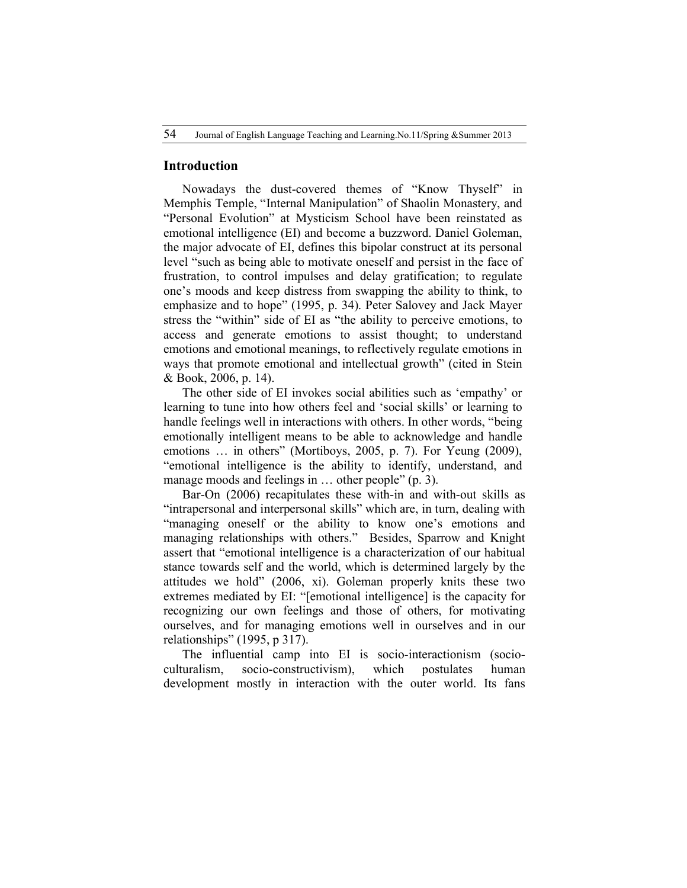## **Introduction**

Nowadays the dust-covered themes of "Know Thyself" in Memphis Temple, "Internal Manipulation" of Shaolin Monastery, and "Personal Evolution" at Mysticism School have been reinstated as emotional intelligence (EI) and become a buzzword. Daniel Goleman, the major advocate of EI, defines this bipolar construct at its personal level "such as being able to motivate oneself and persist in the face of frustration, to control impulses and delay gratification; to regulate one's moods and keep distress from swapping the ability to think, to emphasize and to hope" (1995, p. 34). Peter Salovey and Jack Mayer stress the "within" side of EI as "the ability to perceive emotions, to access and generate emotions to assist thought; to understand emotions and emotional meanings, to reflectively regulate emotions in ways that promote emotional and intellectual growth" (cited in Stein & Book, 2006, p. 14).

The other side of EI invokes social abilities such as 'empathy' or learning to tune into how others feel and 'social skills' or learning to handle feelings well in interactions with others. In other words, "being emotionally intelligent means to be able to acknowledge and handle emotions … in others" (Mortiboys, 2005, p. 7). For Yeung (2009), "emotional intelligence is the ability to identify, understand, and manage moods and feelings in ... other people" (p. 3).

Bar-On (2006) recapitulates these with-in and with-out skills as "intrapersonal and interpersonal skills" which are, in turn, dealing with "managing oneself or the ability to know one's emotions and managing relationships with others." Besides, Sparrow and Knight assert that "emotional intelligence is a characterization of our habitual stance towards self and the world, which is determined largely by the attitudes we hold" (2006, xi). Goleman properly knits these two extremes mediated by EI: "[emotional intelligence] is the capacity for recognizing our own feelings and those of others, for motivating ourselves, and for managing emotions well in ourselves and in our relationships" (1995, p 317).

The influential camp into EI is socio-interactionism (socioculturalism, socio-constructivism), which postulates human development mostly in interaction with the outer world. Its fans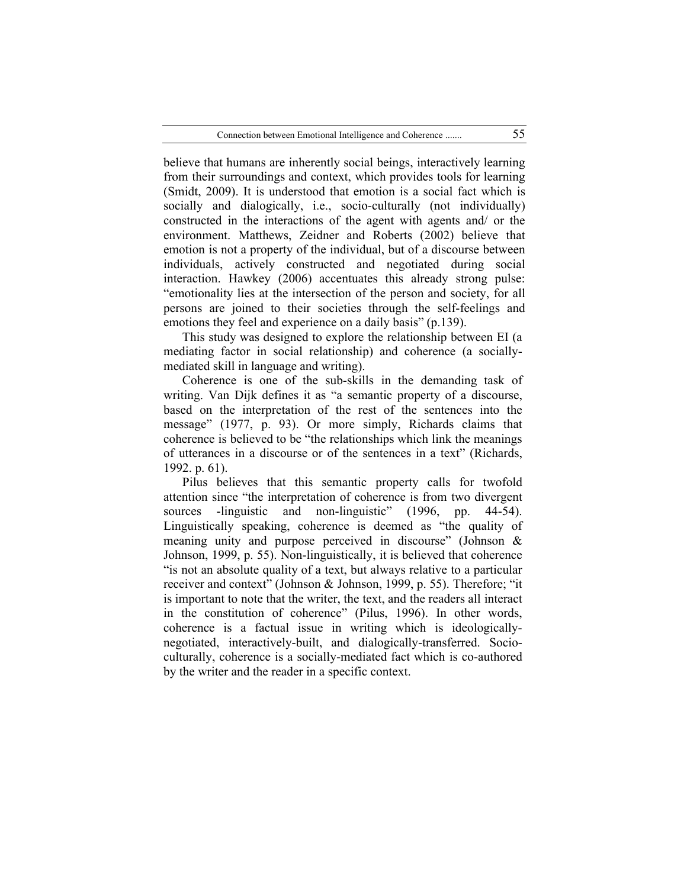believe that humans are inherently social beings, interactively learning from their surroundings and context, which provides tools for learning (Smidt, 2009). It is understood that emotion is a social fact which is socially and dialogically, i.e., socio-culturally (not individually) constructed in the interactions of the agent with agents and/ or the environment. Matthews, Zeidner and Roberts (2002) believe that emotion is not a property of the individual, but of a discourse between individuals, actively constructed and negotiated during social interaction. Hawkey (2006) accentuates this already strong pulse: "emotionality lies at the intersection of the person and society, for all persons are joined to their societies through the self-feelings and emotions they feel and experience on a daily basis" (p.139).

This study was designed to explore the relationship between EI (a mediating factor in social relationship) and coherence (a sociallymediated skill in language and writing).

Coherence is one of the sub-skills in the demanding task of writing. Van Dijk defines it as "a semantic property of a discourse, based on the interpretation of the rest of the sentences into the message" (1977, p. 93). Or more simply, Richards claims that coherence is believed to be "the relationships which link the meanings of utterances in a discourse or of the sentences in a text" (Richards, 1992. p. 61).

Pilus believes that this semantic property calls for twofold attention since "the interpretation of coherence is from two divergent sources -linguistic and non-linguistic" (1996, pp. 44-54). Linguistically speaking, coherence is deemed as "the quality of meaning unity and purpose perceived in discourse" (Johnson & Johnson, 1999, p. 55). Non-linguistically, it is believed that coherence "is not an absolute quality of a text, but always relative to a particular receiver and context" (Johnson & Johnson, 1999, p. 55). Therefore; "it is important to note that the writer, the text, and the readers all interact in the constitution of coherence" (Pilus, 1996). In other words, coherence is a factual issue in writing which is ideologicallynegotiated, interactively-built, and dialogically-transferred. Socioculturally, coherence is a socially-mediated fact which is co-authored by the writer and the reader in a specific context.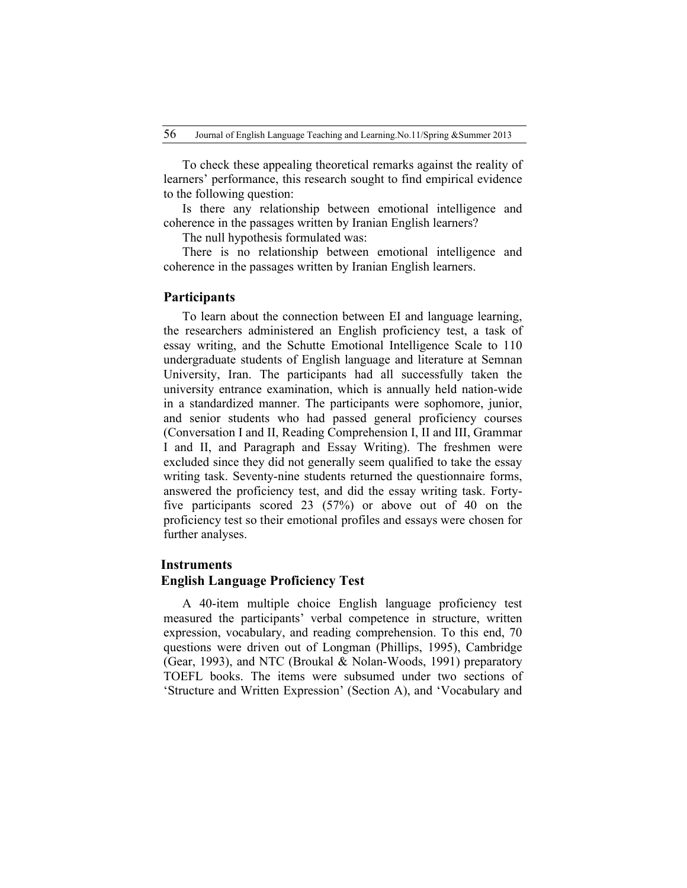To check these appealing theoretical remarks against the reality of learners' performance, this research sought to find empirical evidence to the following question:

Is there any relationship between emotional intelligence and coherence in the passages written by Iranian English learners?

The null hypothesis formulated was:

There is no relationship between emotional intelligence and coherence in the passages written by Iranian English learners.

## **Participants**

To learn about the connection between EI and language learning, the researchers administered an English proficiency test, a task of essay writing, and the Schutte Emotional Intelligence Scale to 110 undergraduate students of English language and literature at Semnan University, Iran. The participants had all successfully taken the university entrance examination, which is annually held nation-wide in a standardized manner. The participants were sophomore, junior, and senior students who had passed general proficiency courses (Conversation I and II, Reading Comprehension I, II and III, Grammar I and II, and Paragraph and Essay Writing). The freshmen were excluded since they did not generally seem qualified to take the essay writing task. Seventy-nine students returned the questionnaire forms, answered the proficiency test, and did the essay writing task. Fortyfive participants scored 23 (57%) or above out of 40 on the proficiency test so their emotional profiles and essays were chosen for further analyses.

#### **Instruments**

## **English Language Proficiency Test**

A 40-item multiple choice English language proficiency test measured the participants' verbal competence in structure, written expression, vocabulary, and reading comprehension. To this end, 70 questions were driven out of Longman (Phillips, 1995), Cambridge (Gear, 1993), and NTC (Broukal & Nolan-Woods, 1991) preparatory TOEFL books. The items were subsumed under two sections of 'Structure and Written Expression' (Section A), and 'Vocabulary and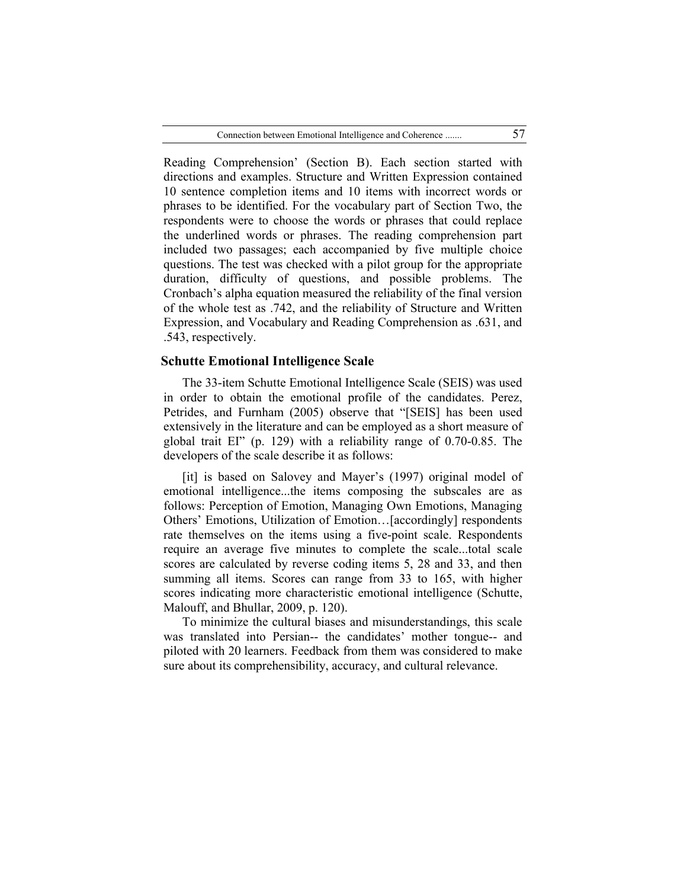Reading Comprehension' (Section B). Each section started with directions and examples. Structure and Written Expression contained 10 sentence completion items and 10 items with incorrect words or phrases to be identified. For the vocabulary part of Section Two, the respondents were to choose the words or phrases that could replace the underlined words or phrases. The reading comprehension part included two passages; each accompanied by five multiple choice questions. The test was checked with a pilot group for the appropriate duration, difficulty of questions, and possible problems. The Cronbach's alpha equation measured the reliability of the final version of the whole test as .742, and the reliability of Structure and Written Expression, and Vocabulary and Reading Comprehension as .631, and .543, respectively.

#### **Schutte Emotional Intelligence Scale**

The 33-item Schutte Emotional Intelligence Scale (SEIS) was used in order to obtain the emotional profile of the candidates. Perez, Petrides, and Furnham (2005) observe that "[SEIS] has been used extensively in the literature and can be employed as a short measure of global trait EI" (p. 129) with a reliability range of 0.70-0.85. The developers of the scale describe it as follows:

[it] is based on Salovey and Mayer's (1997) original model of emotional intelligence...the items composing the subscales are as follows: Perception of Emotion, Managing Own Emotions, Managing Others' Emotions, Utilization of Emotion…[accordingly] respondents rate themselves on the items using a five-point scale. Respondents require an average five minutes to complete the scale...total scale scores are calculated by reverse coding items 5, 28 and 33, and then summing all items. Scores can range from 33 to 165, with higher scores indicating more characteristic emotional intelligence (Schutte, Malouff, and Bhullar, 2009, p. 120).

To minimize the cultural biases and misunderstandings, this scale was translated into Persian-- the candidates' mother tongue-- and piloted with 20 learners. Feedback from them was considered to make sure about its comprehensibility, accuracy, and cultural relevance.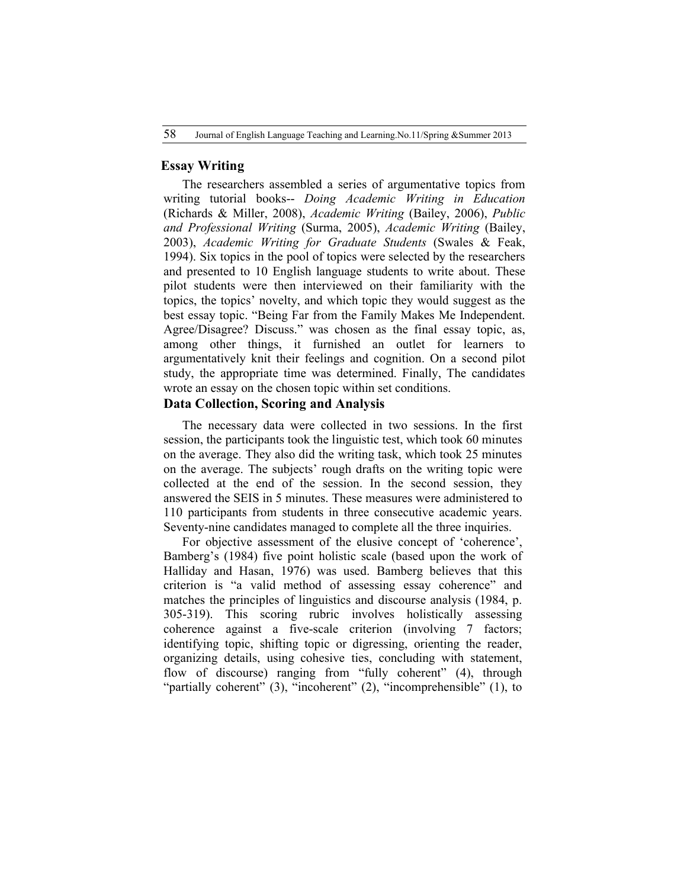## **Essay Writing**

The researchers assembled a series of argumentative topics from writing tutorial books-- *Doing Academic Writing in Education* (Richards & Miller, 2008), *Academic Writing* (Bailey, 2006), *Public and Professional Writing* (Surma, 2005), *Academic Writing* (Bailey, 2003), *Academic Writing for Graduate Students* (Swales & Feak, 1994). Six topics in the pool of topics were selected by the researchers and presented to 10 English language students to write about. These pilot students were then interviewed on their familiarity with the topics, the topics' novelty, and which topic they would suggest as the best essay topic. "Being Far from the Family Makes Me Independent. Agree/Disagree? Discuss." was chosen as the final essay topic, as, among other things, it furnished an outlet for learners to argumentatively knit their feelings and cognition. On a second pilot study, the appropriate time was determined. Finally, The candidates wrote an essay on the chosen topic within set conditions.

## **Data Collection, Scoring and Analysis**

The necessary data were collected in two sessions. In the first session, the participants took the linguistic test, which took 60 minutes on the average. They also did the writing task, which took 25 minutes on the average. The subjects' rough drafts on the writing topic were collected at the end of the session. In the second session, they answered the SEIS in 5 minutes. These measures were administered to 110 participants from students in three consecutive academic years. Seventy-nine candidates managed to complete all the three inquiries.

For objective assessment of the elusive concept of 'coherence', Bamberg's (1984) five point holistic scale (based upon the work of Halliday and Hasan, 1976) was used. Bamberg believes that this criterion is "a valid method of assessing essay coherence" and matches the principles of linguistics and discourse analysis (1984, p. 305-319). This scoring rubric involves holistically assessing coherence against a five-scale criterion (involving 7 factors; identifying topic, shifting topic or digressing, orienting the reader, organizing details, using cohesive ties, concluding with statement, flow of discourse) ranging from "fully coherent" (4), through "partially coherent" (3), "incoherent" (2), "incomprehensible" (1), to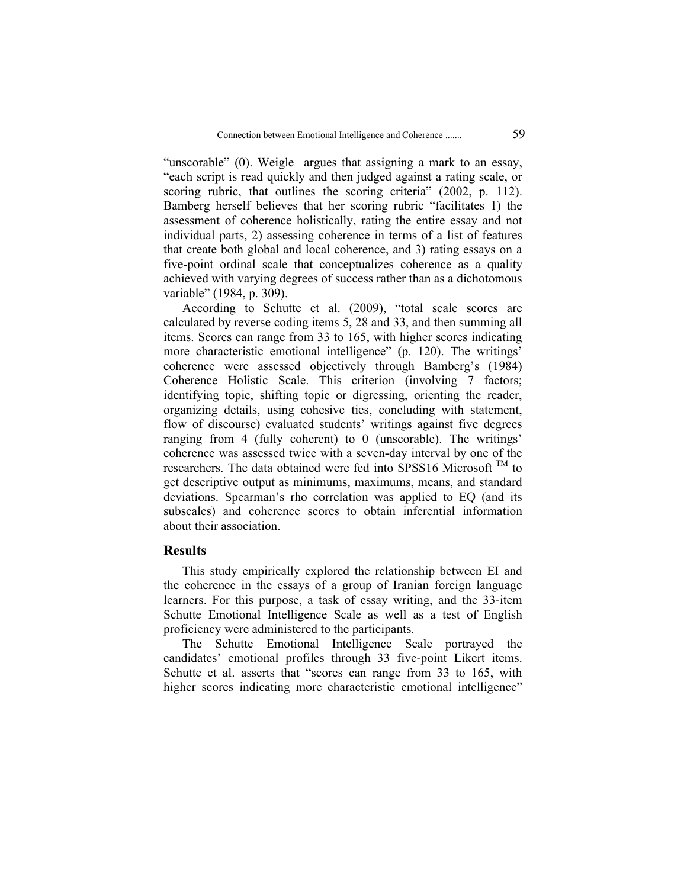"unscorable" (0). Weigle argues that assigning a mark to an essay, "each script is read quickly and then judged against a rating scale, or scoring rubric, that outlines the scoring criteria" (2002, p. 112). Bamberg herself believes that her scoring rubric "facilitates 1) the assessment of coherence holistically, rating the entire essay and not individual parts, 2) assessing coherence in terms of a list of features that create both global and local coherence, and 3) rating essays on a five-point ordinal scale that conceptualizes coherence as a quality achieved with varying degrees of success rather than as a dichotomous variable" (1984, p. 309).

According to Schutte et al. (2009), "total scale scores are calculated by reverse coding items 5, 28 and 33, and then summing all items. Scores can range from 33 to 165, with higher scores indicating more characteristic emotional intelligence" (p. 120). The writings' coherence were assessed objectively through Bamberg's (1984) Coherence Holistic Scale. This criterion (involving 7 factors; identifying topic, shifting topic or digressing, orienting the reader, organizing details, using cohesive ties, concluding with statement, flow of discourse) evaluated students' writings against five degrees ranging from 4 (fully coherent) to 0 (unscorable). The writings' coherence was assessed twice with a seven-day interval by one of the researchers. The data obtained were fed into SPSS16 Microsoft  $^{TM}$  to get descriptive output as minimums, maximums, means, and standard deviations. Spearman's rho correlation was applied to EQ (and its subscales) and coherence scores to obtain inferential information about their association.

## **Results**

This study empirically explored the relationship between EI and the coherence in the essays of a group of Iranian foreign language learners. For this purpose, a task of essay writing, and the 33-item Schutte Emotional Intelligence Scale as well as a test of English proficiency were administered to the participants.

The Schutte Emotional Intelligence Scale portrayed the candidates' emotional profiles through 33 five-point Likert items. Schutte et al. asserts that "scores can range from 33 to 165, with higher scores indicating more characteristic emotional intelligence"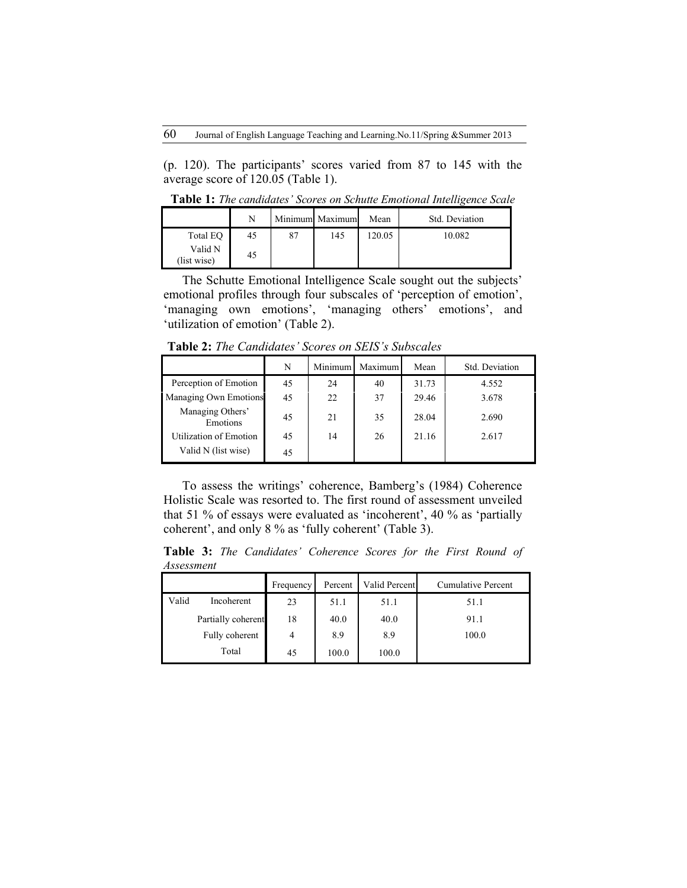(p. 120). The participants' scores varied from 87 to 145 with the average score of 120.05 (Table 1).

**Table 1:** *The candidates' Scores on Schutte Emotional Intelligence Scale*

|                        | N  |    | Minimum Maximum | Mean   | Std. Deviation |
|------------------------|----|----|-----------------|--------|----------------|
| Total EO               | 45 | 87 | 145             | 120.05 | 10.082         |
| Valid N<br>(list wise) | 45 |    |                 |        |                |

The Schutte Emotional Intelligence Scale sought out the subjects' emotional profiles through four subscales of 'perception of emotion', 'managing own emotions', 'managing others' emotions', and 'utilization of emotion' (Table 2).

**Table 2:** *The Candidates' Scores on SEIS's Subscales*

|                               | N  | Minimum | Maximum | Mean  | Std. Deviation |
|-------------------------------|----|---------|---------|-------|----------------|
| Perception of Emotion         | 45 | 24      | 40      | 31.73 | 4.552          |
| Managing Own Emotions         | 45 | 22      | 37      | 29.46 | 3.678          |
| Managing Others'<br>Emotions  | 45 | 21      | 35      | 28.04 | 2.690          |
| <b>Utilization of Emotion</b> | 45 | 14      | 26      | 21.16 | 2.617          |
| Valid N (list wise)           | 45 |         |         |       |                |

To assess the writings' coherence, Bamberg's (1984) Coherence Holistic Scale was resorted to. The first round of assessment unveiled that 51 % of essays were evaluated as 'incoherent', 40 % as 'partially coherent', and only 8 % as 'fully coherent' (Table 3).

**Table 3:** *The Candidates' Coherence Scores for the First Round of Assessment* 

|       |                    | Frequency      | Percent | Valid Percent | Cumulative Percent |
|-------|--------------------|----------------|---------|---------------|--------------------|
| Valid | Incoherent         | 23             | 51.1    | 51.1          | 51.1               |
|       | Partially coherent | 18             | 40.0    | 40.0          | 91.1               |
|       | Fully coherent     | $\overline{4}$ | 8.9     | 8.9           | 100.0              |
|       | Total              | 45             | 100.0   | 100.0         |                    |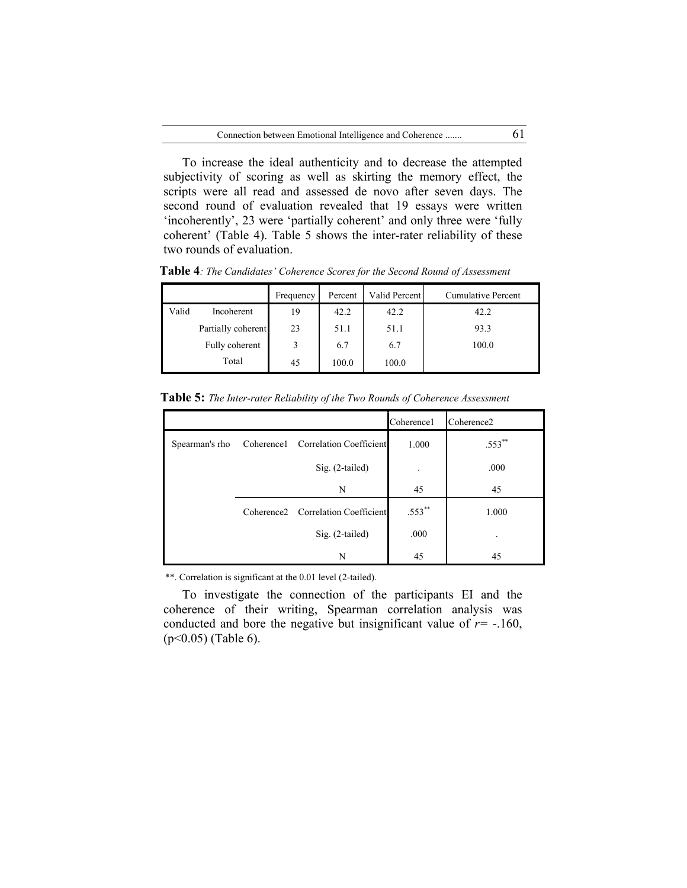To increase the ideal authenticity and to decrease the attempted subjectivity of scoring as well as skirting the memory effect, the scripts were all read and assessed de novo after seven days. The second round of evaluation revealed that 19 essays were written 'incoherently', 23 were 'partially coherent' and only three were 'fully coherent' (Table 4). Table 5 shows the inter-rater reliability of these two rounds of evaluation.

|       |                    | Frequency | Percent | Valid Percent | Cumulative Percent |
|-------|--------------------|-----------|---------|---------------|--------------------|
| Valid | Incoherent         | 19        | 42.2    | 42.2          | 42.2               |
|       | Partially coherent | 23        | 51.1    | 51.1          | 93.3               |
|       | Fully coherent     | 3         | 6.7     | 6.7           | 100.0              |
|       | Total              | 45        | 100.0   | 100.0         |                    |

**Table 4***: The Candidates' Coherence Scores for the Second Round of Assessment*

|  | Table 5: The Inter-rater Reliability of the Two Rounds of Coherence Assessment |  |  |
|--|--------------------------------------------------------------------------------|--|--|
|  |                                                                                |  |  |

|                |                                                | Coherence1 | Coherence <sub>2</sub> |
|----------------|------------------------------------------------|------------|------------------------|
| Spearman's rho | Coherence1 Correlation Coefficient             | 1.000      | $.553***$              |
|                | $Sig. (2-tailed)$                              |            | .000                   |
|                | N                                              | 45         | 45                     |
|                | Coherence <sub>2</sub> Correlation Coefficient | .553**     | 1.000                  |
|                | Sig. (2-tailed)                                | .000       | ٠                      |
|                | N                                              | 45         | 45                     |

\*\*. Correlation is significant at the 0.01 level (2-tailed).

To investigate the connection of the participants EI and the coherence of their writing, Spearman correlation analysis was conducted and bore the negative but insignificant value of  $r = -160$ , (p<0.05) (Table 6).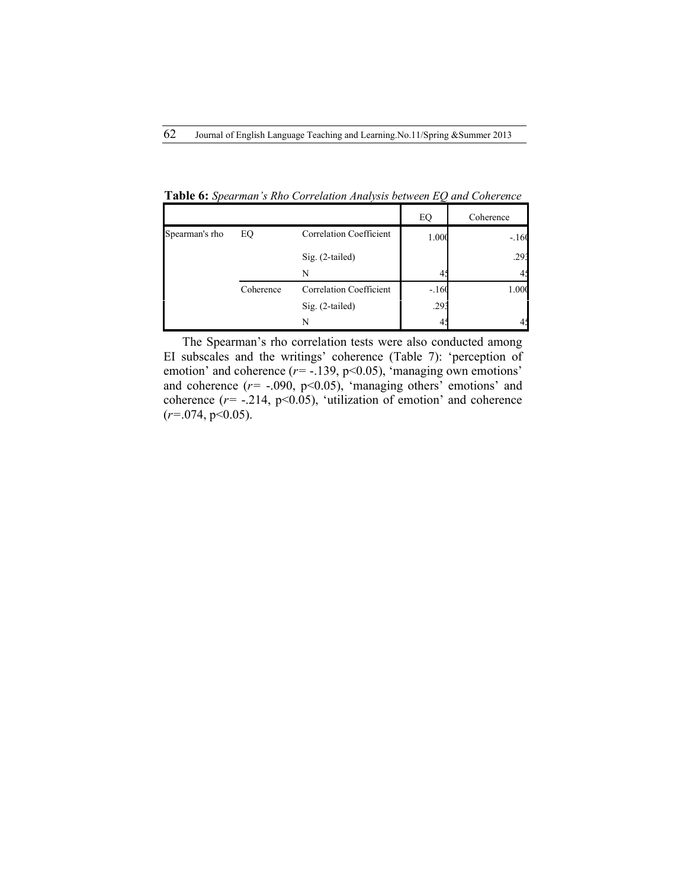|                |           |                                | EQ      | Coherence |
|----------------|-----------|--------------------------------|---------|-----------|
| Spearman's rho | EQ        | Correlation Coefficient        | 1.000   | $-.160$   |
|                |           | $Sig. (2-tailed)$              |         | .293      |
|                |           | N                              | 4.      |           |
|                | Coherence | <b>Correlation Coefficient</b> | $-.160$ | 1.000     |
|                |           | $Sig. (2-tailed)$              | .293    |           |
|                |           | N                              |         |           |

**Table 6:** *Spearman's Rho Correlation Analysis between EQ and Coherence*

The Spearman's rho correlation tests were also conducted among EI subscales and the writings' coherence (Table 7): 'perception of emotion' and coherence ( $r = -139$ ,  $p < 0.05$ ), 'managing own emotions' and coherence  $(r=-.090, p<0.05)$ , 'managing others' emotions' and coherence  $(r=$  -.214, p<0.05), 'utilization of emotion' and coherence (*r=*.074, p<0.05).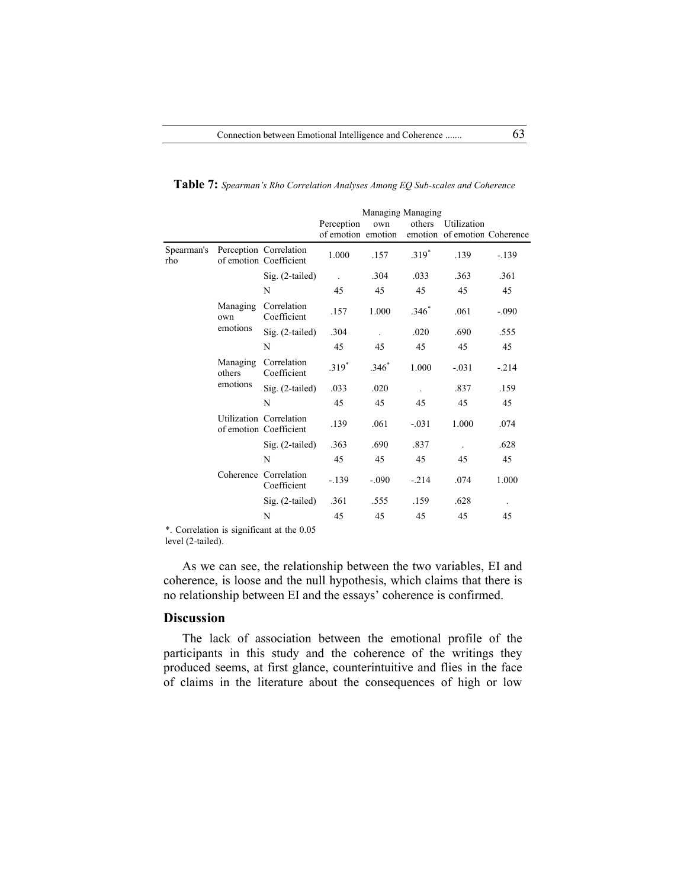|                   |                    |                                                   | Managing Managing  |         |         |                              |         |
|-------------------|--------------------|---------------------------------------------------|--------------------|---------|---------|------------------------------|---------|
|                   |                    |                                                   | Perception         | own     | others  | Utilization                  |         |
|                   |                    |                                                   | of emotion emotion |         |         | emotion of emotion Coherence |         |
| Spearman's<br>rho |                    | Perception Correlation<br>of emotion Coefficient  | 1.000              | .157    | $.319*$ | .139                         | $-.139$ |
|                   |                    | Sig. (2-tailed)                                   |                    | .304    | .033    | .363                         | .361    |
|                   |                    | N                                                 | 45                 | 45      | 45      | 45                           | 45      |
|                   | Managing<br>own    | Correlation<br>Coefficient                        | .157               | 1.000   | $.346*$ | .061                         | $-.090$ |
|                   | emotions           | Sig. (2-tailed)                                   | .304               |         | .020    | .690                         | .555    |
|                   |                    | N                                                 | 45                 | 45      | 45      | 45                           | 45      |
|                   | Managing<br>others | Correlation<br>Coefficient                        | $.319*$            | $.346*$ | 1.000   | $-.031$                      | $-.214$ |
|                   | emotions           | Sig. (2-tailed)                                   | .033               | .020    |         | .837                         | .159    |
|                   |                    | N                                                 | 45                 | 45      | 45      | 45                           | 45      |
|                   |                    | Utilization Correlation<br>of emotion Coefficient | .139               | .061    | $-.031$ | 1.000                        | .074    |
|                   |                    | Sig. (2-tailed)                                   | .363               | .690    | .837    |                              | .628    |
|                   |                    | N                                                 | 45                 | 45      | 45      | 45                           | 45      |
|                   |                    | Coherence Correlation<br>Coefficient              | $-.139$            | $-.090$ | $-.214$ | .074                         | 1.000   |
|                   |                    | Sig. (2-tailed)                                   | .361               | .555    | .159    | .628                         |         |
|                   |                    | N                                                 | 45                 | 45      | 45      | 45                           | 45      |
|                   |                    |                                                   |                    |         |         |                              |         |

**Table 7:** *Spearman's Rho Correlation Analyses Among EQ Sub-scales and Coherence*

\*. Correlation is significant at the 0.05 level (2-tailed).

As we can see, the relationship between the two variables, EI and coherence, is loose and the null hypothesis, which claims that there is no relationship between EI and the essays' coherence is confirmed.

## **Discussion**

The lack of association between the emotional profile of the participants in this study and the coherence of the writings they produced seems, at first glance, counterintuitive and flies in the face of claims in the literature about the consequences of high or low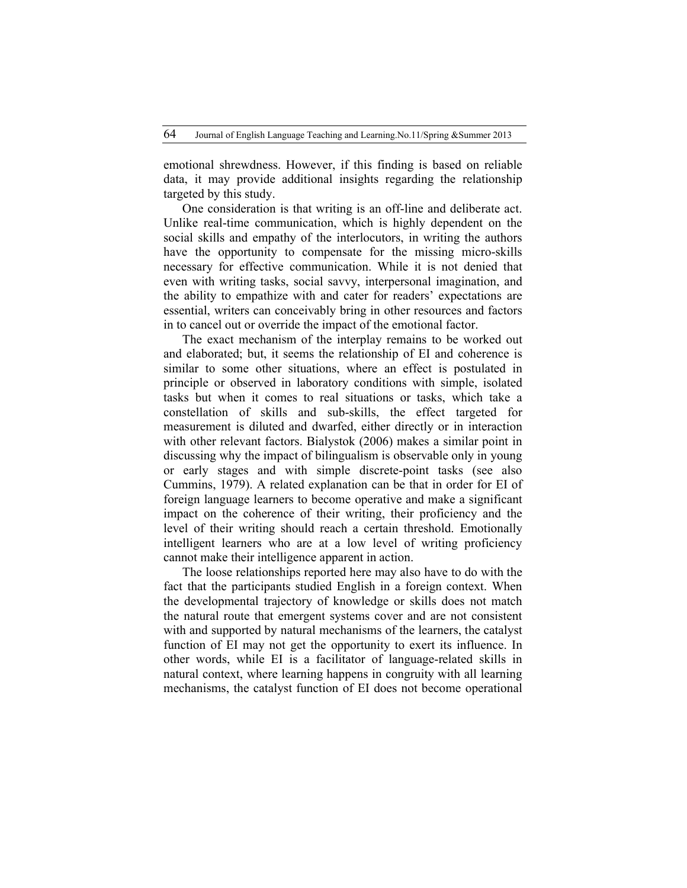emotional shrewdness. However, if this finding is based on reliable data, it may provide additional insights regarding the relationship targeted by this study.

One consideration is that writing is an off-line and deliberate act. Unlike real-time communication, which is highly dependent on the social skills and empathy of the interlocutors, in writing the authors have the opportunity to compensate for the missing micro-skills necessary for effective communication. While it is not denied that even with writing tasks, social savvy, interpersonal imagination, and the ability to empathize with and cater for readers' expectations are essential, writers can conceivably bring in other resources and factors in to cancel out or override the impact of the emotional factor.

The exact mechanism of the interplay remains to be worked out and elaborated; but, it seems the relationship of EI and coherence is similar to some other situations, where an effect is postulated in principle or observed in laboratory conditions with simple, isolated tasks but when it comes to real situations or tasks, which take a constellation of skills and sub-skills, the effect targeted for measurement is diluted and dwarfed, either directly or in interaction with other relevant factors. Bialystok (2006) makes a similar point in discussing why the impact of bilingualism is observable only in young or early stages and with simple discrete-point tasks (see also Cummins, 1979). A related explanation can be that in order for EI of foreign language learners to become operative and make a significant impact on the coherence of their writing, their proficiency and the level of their writing should reach a certain threshold. Emotionally intelligent learners who are at a low level of writing proficiency cannot make their intelligence apparent in action.

The loose relationships reported here may also have to do with the fact that the participants studied English in a foreign context. When the developmental trajectory of knowledge or skills does not match the natural route that emergent systems cover and are not consistent with and supported by natural mechanisms of the learners, the catalyst function of EI may not get the opportunity to exert its influence. In other words, while EI is a facilitator of language-related skills in natural context, where learning happens in congruity with all learning mechanisms, the catalyst function of EI does not become operational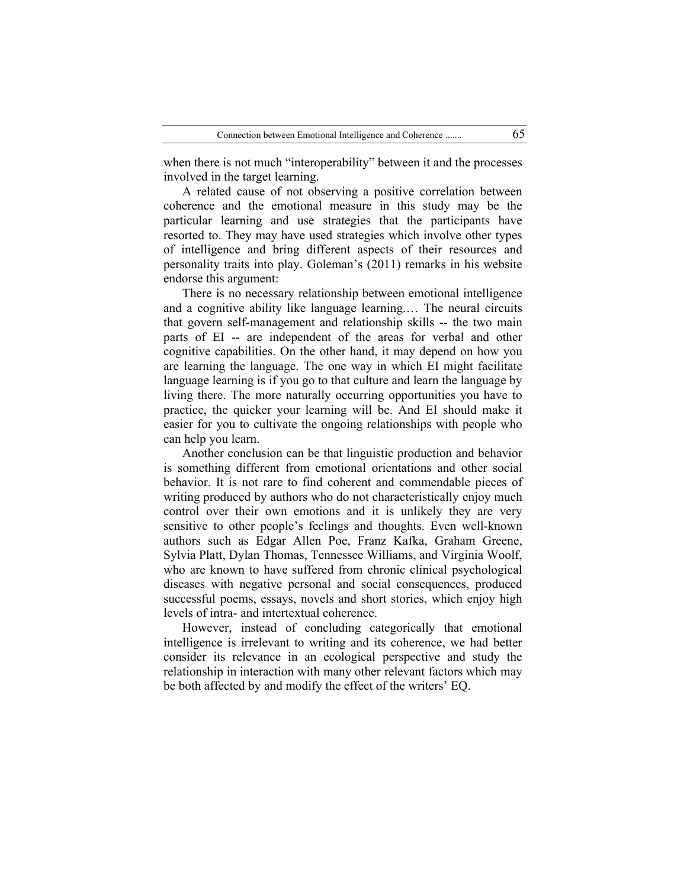when there is not much "interoperability" between it and the processes involved in the target learning.

A related cause of not observing a positive correlation between coherence and the emotional measure in this study may be the particular learning and use strategies that the participants have resorted to. They may have used strategies which involve other types of intelligence and bring different aspects of their resources and personality traits into play. Goleman's (2011) remarks in his website endorse this argument:

There is no necessary relationship between emotional intelligence and a cognitive ability like language learning.… The neural circuits that govern self-management and relationship skills -- the two main parts of EI -- are independent of the areas for verbal and other cognitive capabilities. On the other hand, it may depend on how you are learning the language. The one way in which EI might facilitate language learning is if you go to that culture and learn the language by living there. The more naturally occurring opportunities you have to practice, the quicker your learning will be. And EI should make it easier for you to cultivate the ongoing relationships with people who can help you learn.

Another conclusion can be that linguistic production and behavior is something different from emotional orientations and other social behavior. It is not rare to find coherent and commendable pieces of writing produced by authors who do not characteristically enjoy much control over their own emotions and it is unlikely they are very sensitive to other people's feelings and thoughts. Even well-known authors such as Edgar Allen Poe, Franz Kafka, Graham Greene, Sylvia Platt, Dylan Thomas, Tennessee Williams, and Virginia Woolf, who are known to have suffered from chronic clinical psychological diseases with negative personal and social consequences, produced successful poems, essays, novels and short stories, which enjoy high levels of intra- and intertextual coherence.

However, instead of concluding categorically that emotional intelligence is irrelevant to writing and its coherence, we had better consider its relevance in an ecological perspective and study the relationship in interaction with many other relevant factors which may be both affected by and modify the effect of the writers' EQ.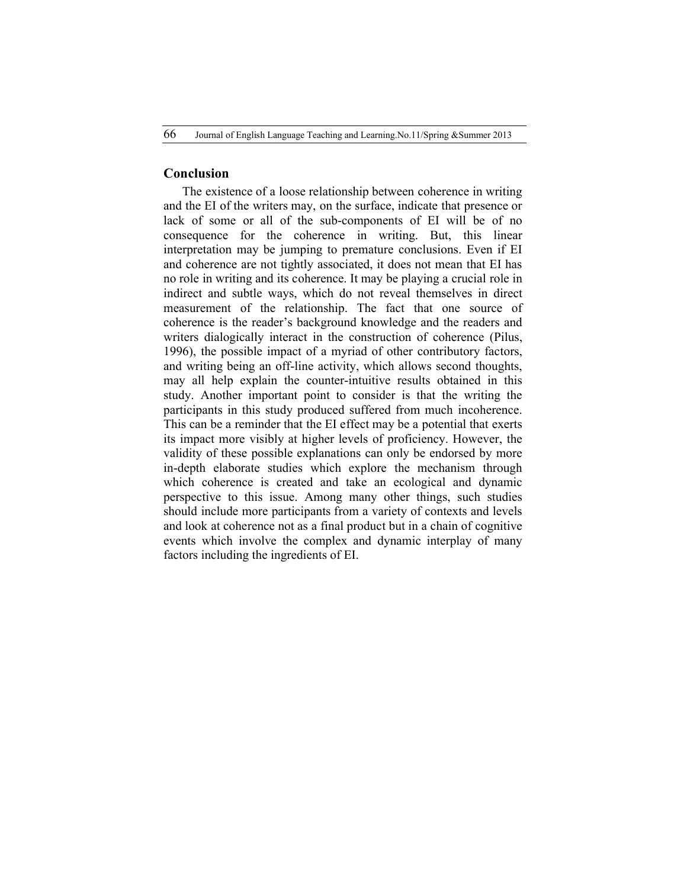## **Conclusion**

The existence of a loose relationship between coherence in writing and the EI of the writers may, on the surface, indicate that presence or lack of some or all of the sub-components of EI will be of no consequence for the coherence in writing. But, this linear interpretation may be jumping to premature conclusions. Even if EI and coherence are not tightly associated, it does not mean that EI has no role in writing and its coherence. It may be playing a crucial role in indirect and subtle ways, which do not reveal themselves in direct measurement of the relationship. The fact that one source of coherence is the reader's background knowledge and the readers and writers dialogically interact in the construction of coherence (Pilus, 1996), the possible impact of a myriad of other contributory factors, and writing being an off-line activity, which allows second thoughts, may all help explain the counter-intuitive results obtained in this study. Another important point to consider is that the writing the participants in this study produced suffered from much incoherence. This can be a reminder that the EI effect may be a potential that exerts its impact more visibly at higher levels of proficiency. However, the validity of these possible explanations can only be endorsed by more in-depth elaborate studies which explore the mechanism through which coherence is created and take an ecological and dynamic perspective to this issue. Among many other things, such studies should include more participants from a variety of contexts and levels and look at coherence not as a final product but in a chain of cognitive events which involve the complex and dynamic interplay of many factors including the ingredients of EI.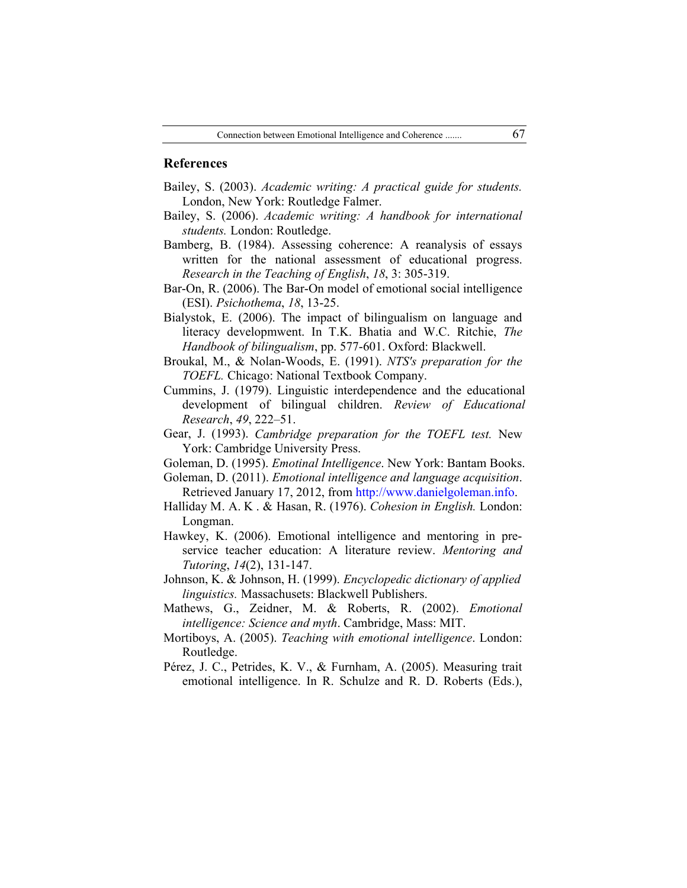## **References**

- Bailey, S. (2003). *Academic writing: A practical guide for students.* London, New York: Routledge Falmer.
- Bailey, S. (2006). *Academic writing: A handbook for international students.* London: Routledge.
- Bamberg, B. (1984). Assessing coherence: A reanalysis of essays written for the national assessment of educational progress. *Research in the Teaching of English*, *18*, 3: 305-319.
- Bar-On, R. (2006). The Bar-On model of emotional social intelligence (ESI). *Psichothema*, *18*, 13-25.
- Bialystok, E. (2006). The impact of bilingualism on language and literacy developmwent. In T.K. Bhatia and W.C. Ritchie, *The Handbook of bilingualism*, pp. 577-601. Oxford: Blackwell.
- Broukal, M., & Nolan-Woods, E. (1991). *NTS's preparation for the TOEFL.* Chicago: National Textbook Company.
- Cummins, J. (1979). Linguistic interdependence and the educational development of bilingual children. *Review of Educational Research*, *49*, 222–51.
- Gear, J. (1993). *Cambridge preparation for the TOEFL test.* New York: Cambridge University Press.
- Goleman, D. (1995). *Emotinal Intelligence*. New York: Bantam Books.
- Goleman, D. (2011). *Emotional intelligence and language acquisition*. Retrieved January 17, 2012, from http://www.danielgoleman.info.
- Halliday M. A. K . & Hasan, R. (1976). *Cohesion in English.* London: Longman.
- Hawkey, K. (2006). Emotional intelligence and mentoring in preservice teacher education: A literature review. *Mentoring and Tutoring*, *14*(2), 131-147.
- Johnson, K. & Johnson, H. (1999). *Encyclopedic dictionary of applied linguistics.* Massachusets: Blackwell Publishers.
- Mathews, G., Zeidner, M. & Roberts, R. (2002). *Emotional intelligence: Science and myth*. Cambridge, Mass: MIT.
- Mortiboys, A. (2005). *Teaching with emotional intelligence*. London: Routledge.
- Pérez, J. C., Petrides, K. V., & Furnham, A. (2005). Measuring trait emotional intelligence. In R. Schulze and R. D. Roberts (Eds.),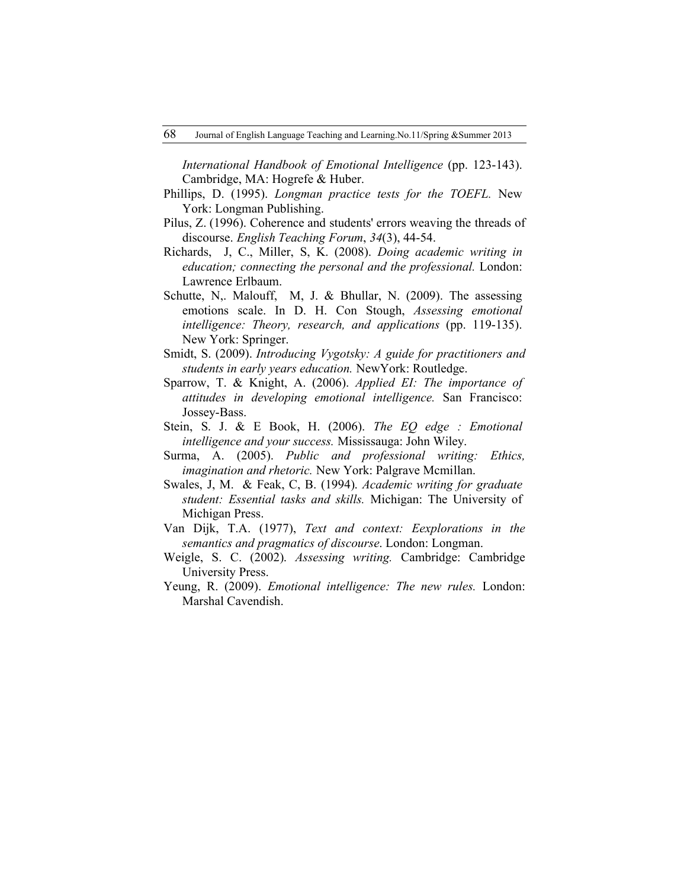*International Handbook of Emotional Intelligence* (pp. 123-143). Cambridge, MA: Hogrefe & Huber.

- Phillips, D. (1995). *Longman practice tests for the TOEFL.* New York: Longman Publishing.
- Pilus, Z. (1996). Coherence and students' errors weaving the threads of discourse. *English Teaching Forum*, *34*(3), 44-54.
- Richards, J, C., Miller, S, K. (2008). *Doing academic writing in education; connecting the personal and the professional.* London: Lawrence Erlbaum.
- Schutte, N<sub>r</sub>. Malouff, M, J. & Bhullar, N. (2009). The assessing emotions scale. In D. H. Con Stough, *Assessing emotional intelligence: Theory, research, and applications* (pp. 119-135). New York: Springer.
- Smidt, S. (2009). *Introducing Vygotsky: A guide for practitioners and students in early years education.* NewYork: Routledge.
- Sparrow, T. & Knight, A. (2006). *Applied EI: The importance of attitudes in developing emotional intelligence.* San Francisco: Jossey-Bass.
- Stein, S. J. & E Book, H. (2006). *The EQ edge : Emotional intelligence and your success.* Mississauga: John Wiley.
- Surma, A. (2005). *Public and professional writing: Ethics, imagination and rhetoric.* New York: Palgrave Mcmillan.
- Swales, J, M. & Feak, C, B. (1994). *Academic writing for graduate student: Essential tasks and skills.* Michigan: The University of Michigan Press.
- Van Dijk, T.A. (1977), *Text and context: Eexplorations in the semantics and pragmatics of discourse*. London: Longman.
- Weigle, S. C. (2002). *Assessing writing.* Cambridge: Cambridge University Press.
- Yeung, R. (2009). *Emotional intelligence: The new rules.* London: Marshal Cavendish.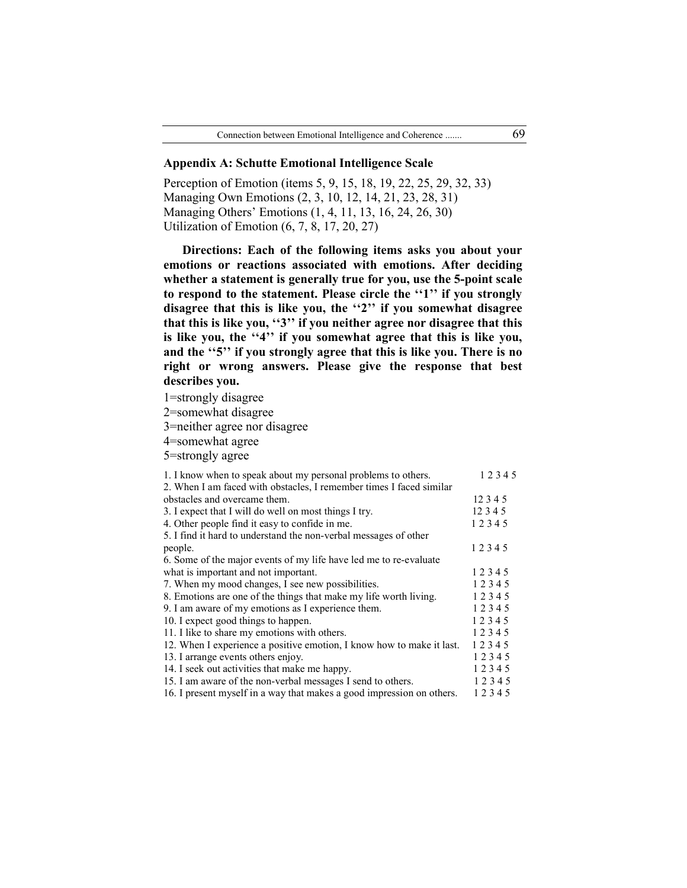#### **Appendix A: Schutte Emotional Intelligence Scale**

Perception of Emotion (items 5, 9, 15, 18, 19, 22, 25, 29, 32, 33) Managing Own Emotions (2, 3, 10, 12, 14, 21, 23, 28, 31) Managing Others' Emotions (1, 4, 11, 13, 16, 24, 26, 30) Utilization of Emotion (6, 7, 8, 17, 20, 27)

**Directions: Each of the following items asks you about your emotions or reactions associated with emotions. After deciding whether a statement is generally true for you, use the 5-point scale to respond to the statement. Please circle the ''1'' if you strongly disagree that this is like you, the ''2'' if you somewhat disagree that this is like you, ''3'' if you neither agree nor disagree that this is like you, the ''4'' if you somewhat agree that this is like you, and the ''5'' if you strongly agree that this is like you. There is no right or wrong answers. Please give the response that best describes you.**

1=strongly disagree

2=somewhat disagree

3=neither agree nor disagree

4=somewhat agree

5=strongly agree

| 1. I know when to speak about my personal problems to others.         | 12345    |
|-----------------------------------------------------------------------|----------|
| 2. When I am faced with obstacles, I remember times I faced similar   |          |
| obstacles and overcame them.                                          | 12 3 4 5 |
| 3. I expect that I will do well on most things I try.                 | 12345    |
| 4. Other people find it easy to confide in me.                        | 12345    |
| 5. I find it hard to understand the non-verbal messages of other      |          |
| people.                                                               | 12345    |
| 6. Some of the major events of my life have led me to re-evaluate     |          |
| what is important and not important.                                  | 12345    |
| 7. When my mood changes, I see new possibilities.                     | 12345    |
| 8. Emotions are one of the things that make my life worth living.     | 12345    |
| 9. I am aware of my emotions as I experience them.                    | 12345    |
| 10. I expect good things to happen.                                   | 12345    |
| 11. I like to share my emotions with others.                          | 12345    |
| 12. When I experience a positive emotion, I know how to make it last. | 12345    |
| 13. I arrange events others enjoy.                                    | 12345    |
| 14. I seek out activities that make me happy.                         | 12345    |
| 15. I am aware of the non-verbal messages I send to others.           | 12345    |
| 16. I present myself in a way that makes a good impression on others. | 12345    |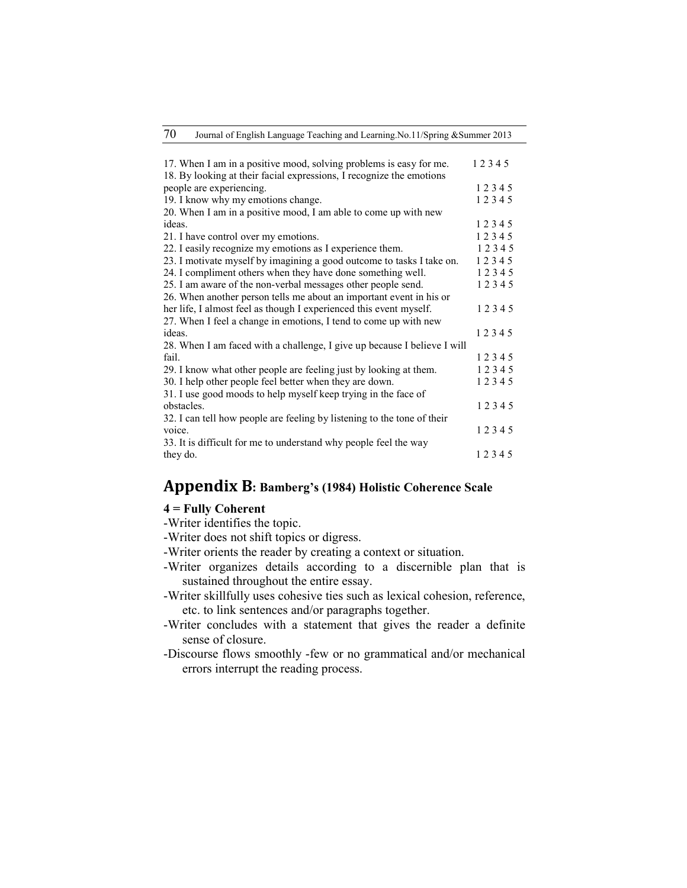| 70 |  | Journal of English Language Teaching and Learning No.11/Spring & Summer 2013 |
|----|--|------------------------------------------------------------------------------|
|    |  |                                                                              |

| 17. When I am in a positive mood, solving problems is easy for me.       | 12345 |
|--------------------------------------------------------------------------|-------|
| 18. By looking at their facial expressions, I recognize the emotions     |       |
| people are experiencing.                                                 | 12345 |
| 19. I know why my emotions change.                                       | 12345 |
| 20. When I am in a positive mood, I am able to come up with new          |       |
| ideas.                                                                   | 12345 |
| 21. I have control over my emotions.                                     | 12345 |
| 22. I easily recognize my emotions as I experience them.                 | 12345 |
| 23. I motivate myself by imagining a good outcome to tasks I take on.    | 12345 |
| 24. I compliment others when they have done something well.              | 12345 |
| 25. I am aware of the non-verbal messages other people send.             | 12345 |
| 26. When another person tells me about an important event in his or      |       |
| her life, I almost feel as though I experienced this event myself.       | 12345 |
| 27. When I feel a change in emotions, I tend to come up with new         |       |
| ideas.                                                                   | 12345 |
| 28. When I am faced with a challenge, I give up because I believe I will |       |
| fail.                                                                    | 12345 |
| 29. I know what other people are feeling just by looking at them.        | 12345 |
| 30. I help other people feel better when they are down.                  | 12345 |
| 31. I use good moods to help myself keep trying in the face of           |       |
| obstacles.                                                               | 12345 |
| 32. I can tell how people are feeling by listening to the tone of their  |       |
| voice.                                                                   | 12345 |
| 33. It is difficult for me to understand why people feel the way         |       |
| they do.                                                                 | 12345 |

# **Appendix B: Bamberg's (1984) Holistic Coherence Scale**

# **4 = Fully Coherent**

-Writer identifies the topic.

- -Writer does not shift topics or digress.
- -Writer orients the reader by creating a context or situation.
- -Writer organizes details according to a discernible plan that is sustained throughout the entire essay.
- -Writer skillfully uses cohesive ties such as lexical cohesion, reference, etc. to link sentences and/or paragraphs together.
- -Writer concludes with a statement that gives the reader a definite sense of closure.
- -Discourse flows smoothly -few or no grammatical and/or mechanical errors interrupt the reading process.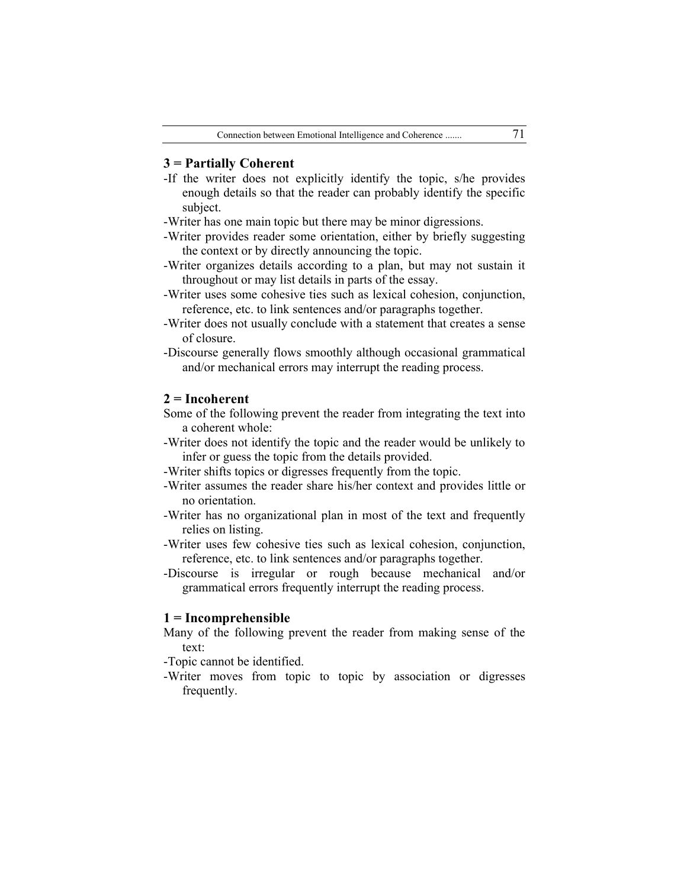## **3 = Partially Coherent**

- -If the writer does not explicitly identify the topic, s/he provides enough details so that the reader can probably identify the specific subject.
- -Writer has one main topic but there may be minor digressions.
- -Writer provides reader some orientation, either by briefly suggesting the context or by directly announcing the topic.
- -Writer organizes details according to a plan, but may not sustain it throughout or may list details in parts of the essay.
- -Writer uses some cohesive ties such as lexical cohesion, conjunction, reference, etc. to link sentences and/or paragraphs together.
- -Writer does not usually conclude with a statement that creates a sense of closure.
- -Discourse generally flows smoothly although occasional grammatical and/or mechanical errors may interrupt the reading process.

#### **2 = Incoherent**

Some of the following prevent the reader from integrating the text into a coherent whole:

- -Writer does not identify the topic and the reader would be unlikely to infer or guess the topic from the details provided.
- -Writer shifts topics or digresses frequently from the topic.
- -Writer assumes the reader share his/her context and provides little or no orientation.
- -Writer has no organizational plan in most of the text and frequently relies on listing.
- -Writer uses few cohesive ties such as lexical cohesion, conjunction, reference, etc. to link sentences and/or paragraphs together.
- -Discourse is irregular or rough because mechanical and/or grammatical errors frequently interrupt the reading process.

### **1 = Incomprehensible**

Many of the following prevent the reader from making sense of the text:

-Topic cannot be identified.

-Writer moves from topic to topic by association or digresses frequently.